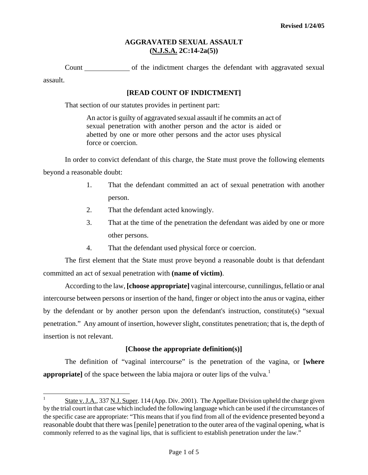#### **AGGRAVATED SEXUAL ASSAULT (N.J.S.A. 2C:14-2a(5))**

Count of the indictment charges the defendant with aggravated sexual assault.

### **[READ COUNT OF INDICTMENT]**

That section of our statutes provides in pertinent part:

An actor is guilty of aggravated sexual assault if he commits an act of sexual penetration with another person and the actor is aided or abetted by one or more other persons and the actor uses physical force or coercion.

In order to convict defendant of this charge, the State must prove the following elements beyond a reasonable doubt:

- 1. That the defendant committed an act of sexual penetration with another person.
- 2. That the defendant acted knowingly.
- 3. That at the time of the penetration the defendant was aided by one or more other persons.
- 4. That the defendant used physical force or coercion.

The first element that the State must prove beyond a reasonable doubt is that defendant committed an act of sexual penetration with **(name of victim)**.

According to the law, **[choose appropriate]** vaginal intercourse, cunnilingus, fellatio or anal intercourse between persons or insertion of the hand, finger or object into the anus or vagina, either by the defendant or by another person upon the defendant's instruction, constitute(s) "sexual penetration." Any amount of insertion, however slight, constitutes penetration; that is, the depth of insertion is not relevant.

# **[Choose the appropriate definition(s)]**

The definition of "vaginal intercourse" is the penetration of the vagina, or **[where appropriate** of the space between the labia majora or outer lips of the vulva.<sup>[1](#page-0-0)</sup>

<span id="page-0-1"></span><span id="page-0-0"></span> $\frac{1}{1}$  State v. J.A., 337 N.J. Super. 114 (App. Div. 2001). The Appellate Division upheld the charge given by the trial court in that case which included the following language which can be used if the circumstances of the specific case are appropriate: "This means that if you find from all of the evidence presented beyond a reasonable doubt that there was [penile] penetration to the outer area of the vaginal opening, what is commonly referred to as the vaginal lips, that is sufficient to establish penetration under the law."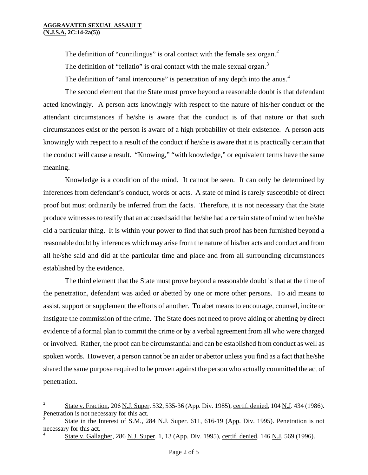i

The definition of "cunnilingus" is oral contact with the female sex organ.<sup>[2](#page-0-1)</sup> The definition of "fellatio" is oral contact with the male sexual organ.<sup>[3](#page-1-0)</sup>

The definition of "anal intercourse" is penetration of any depth into the anus.<sup>[4](#page-1-1)</sup>

The second element that the State must prove beyond a reasonable doubt is that defendant acted knowingly. A person acts knowingly with respect to the nature of his/her conduct or the attendant circumstances if he/she is aware that the conduct is of that nature or that such circumstances exist or the person is aware of a high probability of their existence. A person acts knowingly with respect to a result of the conduct if he/she is aware that it is practically certain that the conduct will cause a result. "Knowing," "with knowledge," or equivalent terms have the same meaning.

Knowledge is a condition of the mind. It cannot be seen. It can only be determined by inferences from defendant's conduct, words or acts. A state of mind is rarely susceptible of direct proof but must ordinarily be inferred from the facts. Therefore, it is not necessary that the State produce witnesses to testify that an accused said that he/she had a certain state of mind when he/she did a particular thing. It is within your power to find that such proof has been furnished beyond a reasonable doubt by inferences which may arise from the nature of his/her acts and conduct and from all he/she said and did at the particular time and place and from all surrounding circumstances established by the evidence.

The third element that the State must prove beyond a reasonable doubt is that at the time of the penetration, defendant was aided or abetted by one or more other persons. To aid means to assist, support or supplement the efforts of another. To abet means to encourage, counsel, incite or instigate the commission of the crime. The State does not need to prove aiding or abetting by direct evidence of a formal plan to commit the crime or by a verbal agreement from all who were charged or involved. Rather, the proof can be circumstantial and can be established from conduct as well as spoken words. However, a person cannot be an aider or abettor unless you find as a fact that he/she shared the same purpose required to be proven against the person who actually committed the act of penetration.

<sup>2</sup> State v. Fraction, 206 N.J. Super. 532, 535-36 (App. Div. 1985), certif. denied, 104 N.J. 434 (1986). Penetration is not necessary for this act.

<span id="page-1-2"></span><span id="page-1-0"></span><sup>3</sup> State in the Interest of S.M., 284 N.J. Super. 611, 616-19 (App. Div. 1995). Penetration is not necessary for this act.

<span id="page-1-1"></span><sup>4</sup> State v. Gallagher, 286 N.J. Super. 1, 13 (App. Div. 1995), certif. denied, 146 N.J. 569 (1996).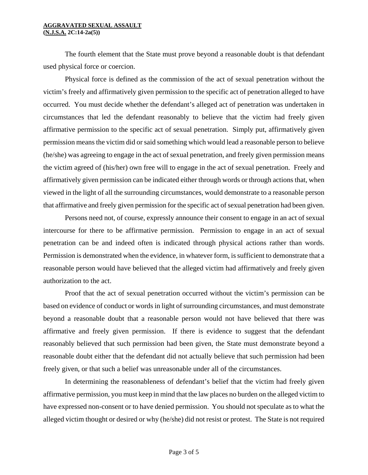#### **AGGRAVATED SEXUAL ASSAULT (N.J.S.A. 2C:14-2a(5))**

The fourth element that the State must prove beyond a reasonable doubt is that defendant used physical force or coercion.

Physical force is defined as the commission of the act of sexual penetration without the victim's freely and affirmatively given permission to the specific act of penetration alleged to have occurred. You must decide whether the defendant's alleged act of penetration was undertaken in circumstances that led the defendant reasonably to believe that the victim had freely given affirmative permission to the specific act of sexual penetration. Simply put, affirmatively given permission means the victim did or said something which would lead a reasonable person to believe (he/she) was agreeing to engage in the act of sexual penetration, and freely given permission means the victim agreed of (his/her) own free will to engage in the act of sexual penetration. Freely and affirmatively given permission can be indicated either through words or through actions that, when viewed in the light of all the surrounding circumstances, would demonstrate to a reasonable person that affirmative and freely given permission for the specific act of sexual penetration had been given.

Persons need not, of course, expressly announce their consent to engage in an act of sexual intercourse for there to be affirmative permission. Permission to engage in an act of sexual penetration can be and indeed often is indicated through physical actions rather than words. Permission is demonstrated when the evidence, in whatever form, is sufficient to demonstrate that a reasonable person would have believed that the alleged victim had affirmatively and freely given authorization to the act.

Proof that the act of sexual penetration occurred without the victim's permission can be based on evidence of conduct or words in light of surrounding circumstances, and must demonstrate beyond a reasonable doubt that a reasonable person would not have believed that there was affirmative and freely given permission. If there is evidence to suggest that the defendant reasonably believed that such permission had been given, the State must demonstrate beyond a reasonable doubt either that the defendant did not actually believe that such permission had been freely given, or that such a belief was unreasonable under all of the circumstances.

In determining the reasonableness of defendant's belief that the victim had freely given affirmative permission, you must keep in mind that the law places no burden on the alleged victim to have expressed non-consent or to have denied permission. You should not speculate as to what the alleged victim thought or desired or why (he/she) did not resist or protest. The State is not required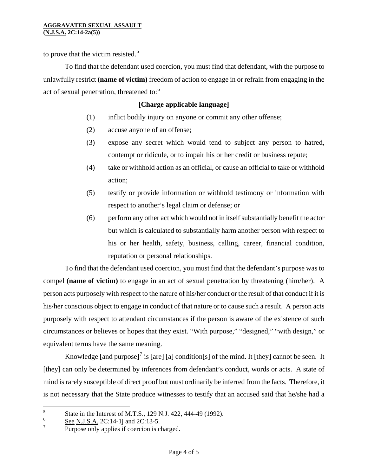to prove that the victim resisted.<sup>[5](#page-1-2)</sup>

To find that the defendant used coercion, you must find that defendant, with the purpose to unlawfully restrict **(name of victim)** freedom of action to engage in or refrain from engaging in the act of sexual penetration, threatened to:<sup>[6](#page-3-0)</sup>

# **[Charge applicable language]**

- (1) inflict bodily injury on anyone or commit any other offense;
- (2) accuse anyone of an offense;
- (3) expose any secret which would tend to subject any person to hatred, contempt or ridicule, or to impair his or her credit or business repute;
- (4) take or withhold action as an official, or cause an official to take or withhold action;
- (5) testify or provide information or withhold testimony or information with respect to another's legal claim or defense; or
- (6) perform any other act which would not in itself substantially benefit the actor but which is calculated to substantially harm another person with respect to his or her health, safety, business, calling, career, financial condition, reputation or personal relationships.

To find that the defendant used coercion, you must find that the defendant's purpose was to compel **(name of victim)** to engage in an act of sexual penetration by threatening (him/her). A person acts purposely with respect to the nature of his/her conduct or the result of that conduct if it is his/her conscious object to engage in conduct of that nature or to cause such a result. A person acts purposely with respect to attendant circumstances if the person is aware of the existence of such circumstances or believes or hopes that they exist. "With purpose," "designed," "with design," or equivalent terms have the same meaning.

Knowledge [and purpose]<sup>[7](#page-3-1)</sup> is [are] [a] condition[s] of the mind. It [they] cannot be seen. It [they] can only be determined by inferences from defendant's conduct, words or acts. A state of mind is rarely susceptible of direct proof but must ordinarily be inferred from the facts. Therefore, it is not necessary that the State produce witnesses to testify that an accused said that he/she had a

<sup>5</sup> State in the Interest of M.T.S., 129 N.J. 422, 444-49 (1992).

<span id="page-3-0"></span><sup>6</sup> See N.J.S.A. 2C:14-1*j* and 2C:13-5.

<span id="page-3-1"></span><sup>7</sup> Purpose only applies if coercion is charged.